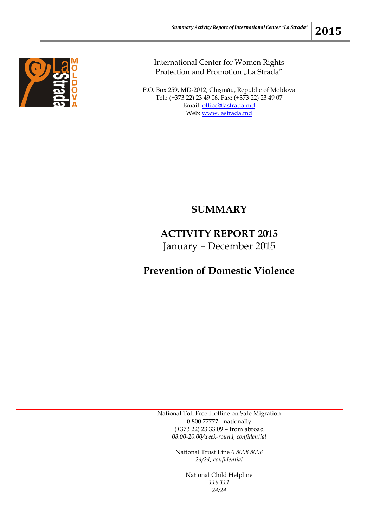

International Center for Women Rights Protection and Promotion "La Strada"

P.O. Box 259, MD-2012, Chişinău, Republic of Moldova Tel.: (+373 22) 23 49 06, Fax: (+373 22) 23 49 07 Email: [office@lastrada.md](mailto:office@lastrada.md) Web: [www.lastrada.md](http://www.lastrada.md/)

## **SUMMARY**

## **ACTIVITY REPORT 2015** January – December 2015

## **Prevention of Domestic Violence**

National Toll Free Hotline on Safe Migration 0 800 77777 - nationally (+373 22) 23 33 09 – from abroad *08.00-20.00/week-round, confidential*

> National Trust Line *0 8008 8008 24/24, confidential*

> > National Child Helpline *116 111 24/24*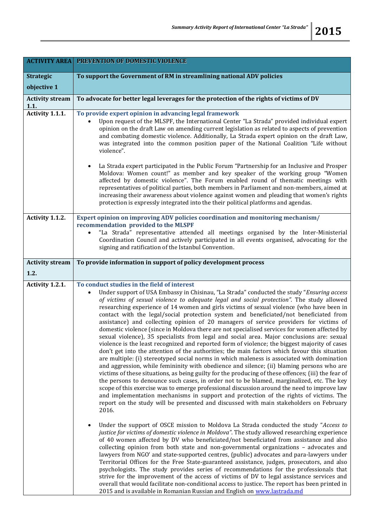|                                | <b>ACTIVITY AREA PREVENTION OF DOMESTIC VIOLENCE</b>                                                                                                                                                                                                                                                                                                                                                                                                                                                                                                                                                                                                                                                                                                                                                                                                                                                                                                                                                                                                                                                                                                                                                                                                                                                                                                                                                                                                                                                                                                                                                             |
|--------------------------------|------------------------------------------------------------------------------------------------------------------------------------------------------------------------------------------------------------------------------------------------------------------------------------------------------------------------------------------------------------------------------------------------------------------------------------------------------------------------------------------------------------------------------------------------------------------------------------------------------------------------------------------------------------------------------------------------------------------------------------------------------------------------------------------------------------------------------------------------------------------------------------------------------------------------------------------------------------------------------------------------------------------------------------------------------------------------------------------------------------------------------------------------------------------------------------------------------------------------------------------------------------------------------------------------------------------------------------------------------------------------------------------------------------------------------------------------------------------------------------------------------------------------------------------------------------------------------------------------------------------|
| <b>Strategic</b>               | To support the Government of RM in streamlining national ADV policies                                                                                                                                                                                                                                                                                                                                                                                                                                                                                                                                                                                                                                                                                                                                                                                                                                                                                                                                                                                                                                                                                                                                                                                                                                                                                                                                                                                                                                                                                                                                            |
| objective 1                    |                                                                                                                                                                                                                                                                                                                                                                                                                                                                                                                                                                                                                                                                                                                                                                                                                                                                                                                                                                                                                                                                                                                                                                                                                                                                                                                                                                                                                                                                                                                                                                                                                  |
| <b>Activity stream</b><br>1.1. | To advocate for better legal leverages for the protection of the rights of victims of DV                                                                                                                                                                                                                                                                                                                                                                                                                                                                                                                                                                                                                                                                                                                                                                                                                                                                                                                                                                                                                                                                                                                                                                                                                                                                                                                                                                                                                                                                                                                         |
| Activity 1.1.1.                | To provide expert opinion in advancing legal framework<br>Upon request of the MLSPF, the International Center "La Strada" provided individual expert<br>opinion on the draft Law on amending current legislation as related to aspects of prevention<br>and combating domestic violence. Additionally, La Strada expert opinion on the draft Law,<br>was integrated into the common position paper of the National Coalition "Life without<br>violence".<br>La Strada expert participated in the Public Forum "Partnership for an Inclusive and Prosper<br>Moldova: Women count!" as member and key speaker of the working group "Women                                                                                                                                                                                                                                                                                                                                                                                                                                                                                                                                                                                                                                                                                                                                                                                                                                                                                                                                                                          |
|                                | affected by domestic violence". The Forum enabled round of thematic meetings with<br>representatives of political parties, both members in Parliament and non-members, aimed at<br>increasing their awareness about violence against women and pleading that women's rights<br>protection is expressly integrated into the their political platforms and agendas.                                                                                                                                                                                                                                                                                                                                                                                                                                                                                                                                                                                                                                                                                                                                                                                                                                                                                                                                                                                                                                                                                                                                                                                                                                                |
| Activity 1.1.2.                | Expert opinion on improving ADV policies coordination and monitoring mechanism/<br>recommendation provided to the MLSPF                                                                                                                                                                                                                                                                                                                                                                                                                                                                                                                                                                                                                                                                                                                                                                                                                                                                                                                                                                                                                                                                                                                                                                                                                                                                                                                                                                                                                                                                                          |
|                                | "La Strada" representative attended all meetings organised by the Inter-Ministerial<br>Coordination Council and actively participated in all events organised, advocating for the<br>signing and ratification of the Istanbul Convention.                                                                                                                                                                                                                                                                                                                                                                                                                                                                                                                                                                                                                                                                                                                                                                                                                                                                                                                                                                                                                                                                                                                                                                                                                                                                                                                                                                        |
| <b>Activity stream</b>         | To provide information in support of policy development process                                                                                                                                                                                                                                                                                                                                                                                                                                                                                                                                                                                                                                                                                                                                                                                                                                                                                                                                                                                                                                                                                                                                                                                                                                                                                                                                                                                                                                                                                                                                                  |
| 1.2.                           |                                                                                                                                                                                                                                                                                                                                                                                                                                                                                                                                                                                                                                                                                                                                                                                                                                                                                                                                                                                                                                                                                                                                                                                                                                                                                                                                                                                                                                                                                                                                                                                                                  |
| Activity 1.2.1.                | To conduct studies in the field of interest<br>Under support of USA Embassy in Chisinau, "La Strada" conducted the study "Ensuring access<br>of victims of sexual violence to adequate legal and social protection". The study allowed<br>researching experience of 14 women and girls victims of sexual violence (who have been in<br>contact with the legal/social protection system and beneficiated/not beneficiated from<br>assistance) and collecting opinion of 20 managers of service providers for victims of<br>domestic violence (since in Moldova there are not specialised services for women affected by<br>sexual violence), 35 specialists from legal and social area. Major conclusions are: sexual<br>violence is the least recognized and reported form of violence; the biggest majority of cases<br>don't get into the attention of the authorities; the main factors which favour this situation<br>are multiple: (i) stereotyped social norms in which maleness is associated with domination<br>and aggression, while femininity with obedience and silence; (ii) blaming persons who are<br>victims of these situations, as being guilty for the producing of these offences; (iii) the fear of<br>the persons to denounce such cases, in order not to be blamed, marginalized, etc. The key<br>scope of this exercise was to emerge professional discussion around the need to improve law<br>and implementation mechanisms in support and protection of the rights of victims. The<br>report on the study will be presented and discussed with main stakeholders on February<br>2016. |
|                                | Under the support of OSCE mission to Moldova La Strada conducted the study "Access to<br>justice for victims of domestic violence in Moldova". The study allowed researching experience<br>of 40 women affected by DV who beneficiated/not beneficiated from assistance and also<br>collecting opinion from both state and non-governmental organizations - advocates and<br>lawyers from NGO' and state-supported centres, (public) advocates and para-lawyers under<br>Territorial Offices for the Free State-guaranteed assistance, judges, prosecutors, and also<br>psychologists. The study provides series of recommendations for the professionals that<br>strive for the improvement of the access of victims of DV to legal assistance services and<br>overall that would facilitate non-conditional access to justice. The report has been printed in<br>2015 and is available in Romanian Russian and English on www.lastrada.md                                                                                                                                                                                                                                                                                                                                                                                                                                                                                                                                                                                                                                                                      |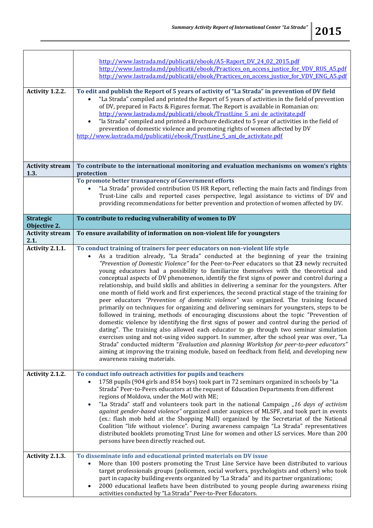|                                  | http://www.lastrada.md/publicatii/ebook/A5-Raport DV 24 02 2015.pdf<br>http://www.lastrada.md/publicatii/ebook/Practices on access justice for VDV RUS A5.pdf<br>http://www.lastrada.md/publicatii/ebook/Practices on access justice for VDV ENG A5.pdf                                                                                                                                                                                                                                                                                                                                                                                                                                                                                                                                                                                                                                                                                                                                                                                                                                                                                                                                                                                                                                                                                                                                                                                                     |
|----------------------------------|-------------------------------------------------------------------------------------------------------------------------------------------------------------------------------------------------------------------------------------------------------------------------------------------------------------------------------------------------------------------------------------------------------------------------------------------------------------------------------------------------------------------------------------------------------------------------------------------------------------------------------------------------------------------------------------------------------------------------------------------------------------------------------------------------------------------------------------------------------------------------------------------------------------------------------------------------------------------------------------------------------------------------------------------------------------------------------------------------------------------------------------------------------------------------------------------------------------------------------------------------------------------------------------------------------------------------------------------------------------------------------------------------------------------------------------------------------------|
| Activity 1.2.2.                  | To edit and publish the Report of 5 years of activity of "La Strada" in prevention of DV field<br>"La Strada" compiled and printed the Report of 5 years of activities in the field of prevention<br>of DV, prepared in Facts & Figures format. The Report is available in Romanian on:<br>http://www.lastrada.md/publicatii/ebook/TrustLine 5 ani de activitate.pdf<br>"la Strada" compiled and printed a Brochure dedicated to 5 year of activities in the field of<br>$\bullet$<br>prevention of domestic violence and promoting rights of women affected by DV<br>http://www.lastrada.md/publicatii/ebook/TrustLine 5 ani de activitate.pdf                                                                                                                                                                                                                                                                                                                                                                                                                                                                                                                                                                                                                                                                                                                                                                                                             |
| <b>Activity stream</b><br>1.3.   | To contribute to the international monitoring and evaluation mechanisms on women's rights<br>protection                                                                                                                                                                                                                                                                                                                                                                                                                                                                                                                                                                                                                                                                                                                                                                                                                                                                                                                                                                                                                                                                                                                                                                                                                                                                                                                                                     |
|                                  | To promote better transparency of Government efforts<br>"La Strada" provided contribution US HR Report, reflecting the main facts and findings from<br>Trust-Line calls and reported cases perspective, legal assistance to victims of DV and<br>providing recommendations for better prevention and protection of women affected by DV.                                                                                                                                                                                                                                                                                                                                                                                                                                                                                                                                                                                                                                                                                                                                                                                                                                                                                                                                                                                                                                                                                                                    |
| <b>Strategic</b><br>Objective 2. | To contribute to reducing vulnerability of women to DV                                                                                                                                                                                                                                                                                                                                                                                                                                                                                                                                                                                                                                                                                                                                                                                                                                                                                                                                                                                                                                                                                                                                                                                                                                                                                                                                                                                                      |
| <b>Activity stream</b><br>2.1.   | To ensure availability of information on non-violent life for youngsters                                                                                                                                                                                                                                                                                                                                                                                                                                                                                                                                                                                                                                                                                                                                                                                                                                                                                                                                                                                                                                                                                                                                                                                                                                                                                                                                                                                    |
| Activity 2.1.1.                  | To conduct training of trainers for peer educators on non-violent life style<br>As a tradition already, "La Strada" conducted at the beginning of year the training<br>"Prevention of Domestic Violence" for the Peer-to-Peer educators so that 23 newly recruited<br>young educators had a possibility to familiarize themselves with the theoretical and<br>conceptual aspects of DV phenomenon, identify the first signs of power and control during a<br>relationship, and build skills and abilities in delivering a seminar for the youngsters. After<br>one month of field work and first experiences, the second practical stage of the training for<br>peer educators "Prevention of domestic violence" was organized. The training focused<br>primarily on techniques for organizing and delivering seminars for youngsters, steps to be<br>followed in training, methods of encouraging discussions about the topic "Prevention of<br>domestic violence by identifying the first signs of power and control during the period of<br>dating". The training also allowed each educator to go through two seminar simulation<br>exercises using and not-using video support. In summer, after the school year was over, "La<br>Strada" conducted midterm "Evaluation and planning Workshop for peer-to-peer educators"<br>aiming at improving the training module, based on feedback from field, and developing new<br>awareness raising materials. |
| Activity 2.1.2.                  | To conduct info outreach activities for pupils and teachers<br>1758 pupils (904 girls and 854 boys) took part in 72 seminars organized in schools by "La<br>Strada" Peer-to-Peers educators at the request of Education Departments from different<br>regions of Moldova, under the MoU with ME;<br>"La Strada" staff and volunteers took part in the national Campaign "16 days of activism<br>against gender-based violence" organized under auspices of MLSPF, and took part in events<br>(ex.: flash mob held at the Shopping Mall) organized by the Secretariat of the National<br>Coalition "life without violence". During awareness campaign "La Strada" representatives<br>distributed booklets promoting Trust Line for women and other LS services. More than 200<br>persons have been directly reached out.                                                                                                                                                                                                                                                                                                                                                                                                                                                                                                                                                                                                                                     |
| Activity 2.1.3.                  | To disseminate info and educational printed materials on DV issue<br>More than 100 posters promoting the Trust Line Service have been distributed to various<br>target professionals groups (policemen, social workers, psychologists and others) who took<br>part in capacity building events organized by "La Strada" and its partner organizations;<br>2000 educational leaflets have been distributed to young people during awareness rising<br>activities conducted by "La Strada" Peer-to-Peer Educators.                                                                                                                                                                                                                                                                                                                                                                                                                                                                                                                                                                                                                                                                                                                                                                                                                                                                                                                                            |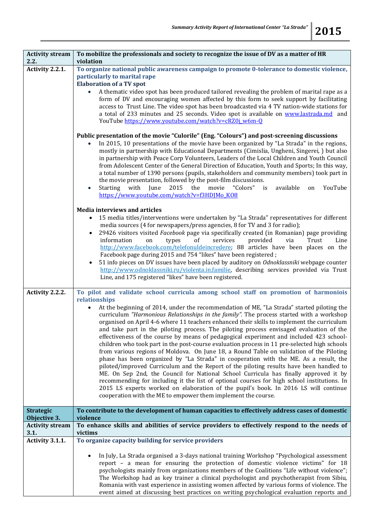| <b>Activity stream</b><br>2.2.   | To mobilize the professionals and society to recognize the issue of DV as a matter of HR<br>violation                                                                                                                                                                                                                                                                                                                                                                                                                                                                                                                                                                                                                                                                                                                                                                                                                                                                                                                                                                                                                                                                                                                                                                                                             |
|----------------------------------|-------------------------------------------------------------------------------------------------------------------------------------------------------------------------------------------------------------------------------------------------------------------------------------------------------------------------------------------------------------------------------------------------------------------------------------------------------------------------------------------------------------------------------------------------------------------------------------------------------------------------------------------------------------------------------------------------------------------------------------------------------------------------------------------------------------------------------------------------------------------------------------------------------------------------------------------------------------------------------------------------------------------------------------------------------------------------------------------------------------------------------------------------------------------------------------------------------------------------------------------------------------------------------------------------------------------|
| Activity 2.2.1.                  | To organize national public awareness campaign to promote 0-tolerance to domestic violence,<br>particularly to marital rape                                                                                                                                                                                                                                                                                                                                                                                                                                                                                                                                                                                                                                                                                                                                                                                                                                                                                                                                                                                                                                                                                                                                                                                       |
|                                  | <b>Elaboration of a TV spot</b>                                                                                                                                                                                                                                                                                                                                                                                                                                                                                                                                                                                                                                                                                                                                                                                                                                                                                                                                                                                                                                                                                                                                                                                                                                                                                   |
|                                  | A thematic video spot has been produced tailored revealing the problem of marital rape as a<br>form of DV and encouraging women affected by this form to seek support by facilitating<br>access to Trust Line. The video spot has been broadcasted via 4 TV nation-wide stations for<br>a total of 233 minutes and 25 seconds. Video spot is available on www.lastrada.md and<br>YouTube https://www.youtube.com/watch?v=cRZ0j w6m-Q                                                                                                                                                                                                                                                                                                                                                                                                                                                                                                                                                                                                                                                                                                                                                                                                                                                                              |
|                                  | Public presentation of the movie "Culorile" (Eng. "Colours") and post-screening discussions<br>In 2015, 10 presentations of the movie have been organized by "La Strada" in the regions,<br>mostly in partnership with Educational Departments (Cimislia, Ungheni, Singerei, ) but also<br>in partnership with Peace Corp Volunteers, Leaders of the Local Children and Youth Council<br>from Adolescent Center of the General Direction of Education, Youth and Sports; In this way,<br>a total number of 1390 persons (pupils, stakeholders and community members) took part in<br>the movie presentation, followed by the post-film discussions.<br>the movie<br>"Colors"<br>Starting with<br>June<br>2015<br>available<br>YouTube<br>is<br>$\bullet$<br>on<br>https://www.youtube.com/watch?v=f3HDJMo K08                                                                                                                                                                                                                                                                                                                                                                                                                                                                                                     |
|                                  | <b>Media interviews and articles</b><br>15 media titles/interventions were undertaken by "La Strada" representatives for different<br>media sources (4 for newspapers/press agencies, 8 for TV and 3 for radio);<br>29426 visitors visited Facebook page via specifically created (in Romanian) page providing<br>$\bullet$<br>information<br>of<br>services<br>provided<br>via<br>Trust<br>Line<br>on<br>types<br>http://www.facebook.com/telefonuldeincredere; 88 articles have been places on the<br>Facebook page during 2015 and 754 "likes" have been registered;<br>51 info pieces on DV issues have been placed by auditory on Odnoklassniki webpage counter<br>$\bullet$<br>http://www.odnoklassniki.ru/violenta.in.familie, describing services provided via Trust<br>Line, and 175 registered "likes" have been registered.                                                                                                                                                                                                                                                                                                                                                                                                                                                                            |
| Activity 2.2.2.                  | To pilot and validate school curricula among school staff on promotion of harmoniois<br>relationships<br>At the beginning of 2014, under the recommendation of ME, "La Strada" started piloting the<br>curriculum "Harmonious Relationships in the family". The process started with a workshop<br>organised on April 4-6 where 11 teachers enhanced their skills to implement the curriculum<br>and take part in the piloting process. The piloting process envisaged evaluation of the<br>effectiveness of the course by means of pedagogical experiment and included 423 school-<br>children who took part in the post-course evaluation process in 11 pre-selected high schools<br>from various regions of Moldova. On June 18, a Round Table on validation of the Piloting<br>phase has been organized by "La Strada" in cooperation with the ME. As a result, the<br>piloted/improved Curriculum and the Report of the piloting results have been handled to<br>ME. On Sep 2nd, the Council for National School Curricula has finally approved it by<br>recommending for including it the list of optional courses for high school institutions. In<br>2015 LS experts worked on elaboration of the pupil's book. In 2016 LS will continue<br>cooperation with the ME to empower them implement the course. |
| <b>Strategic</b><br>Objective 3. | To contribute to the development of human capacities to effectively address cases of domestic<br>violence                                                                                                                                                                                                                                                                                                                                                                                                                                                                                                                                                                                                                                                                                                                                                                                                                                                                                                                                                                                                                                                                                                                                                                                                         |
| <b>Activity stream</b><br>3.1.   | To enhance skills and abilities of service providers to effectively respond to the needs of<br>victims                                                                                                                                                                                                                                                                                                                                                                                                                                                                                                                                                                                                                                                                                                                                                                                                                                                                                                                                                                                                                                                                                                                                                                                                            |
| Activity 3.1.1.                  | To organize capacity building for service providers                                                                                                                                                                                                                                                                                                                                                                                                                                                                                                                                                                                                                                                                                                                                                                                                                                                                                                                                                                                                                                                                                                                                                                                                                                                               |
|                                  | In July, La Strada organised a 3-days national training Workshop "Psychological assessment<br>report - a mean for ensuring the protection of domestic violence victims" for 18<br>psychologists mainly from organizations members of the Coalitions "Life without violence";<br>The Workshop had as key trainer a clinical psychologist and psychotherapist from Sibiu,<br>Romania with vast experience in assisting women affected by various forms of violence. The<br>event aimed at discussing best practices on writing psychological evaluation reports and                                                                                                                                                                                                                                                                                                                                                                                                                                                                                                                                                                                                                                                                                                                                                 |